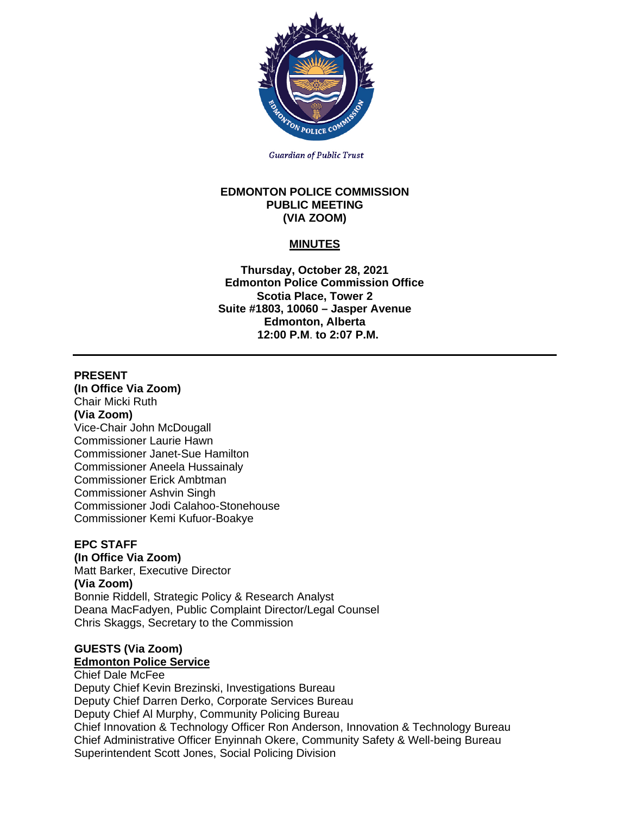

**Guardian of Public Trust** 

#### **EDMONTON POLICE COMMISSION PUBLIC MEETING (VIA ZOOM)**

# **MINUTES**

**Thursday, October 28, 2021 Edmonton Police Commission Office Scotia Place, Tower 2 Suite #1803, 10060 – Jasper Avenue Edmonton, Alberta 12:00 P.M**. **to 2:07 P.M.**

### **PRESENT**

**(In Office Via Zoom)** Chair Micki Ruth **(Via Zoom)** Vice-Chair John McDougall Commissioner Laurie Hawn Commissioner Janet-Sue Hamilton Commissioner Aneela Hussainaly Commissioner Erick Ambtman Commissioner Ashvin Singh Commissioner Jodi Calahoo-Stonehouse Commissioner Kemi Kufuor-Boakye

### **EPC STAFF**

**(In Office Via Zoom)**

Matt Barker, Executive Director **(Via Zoom)** Bonnie Riddell, Strategic Policy & Research Analyst Deana MacFadyen, Public Complaint Director/Legal Counsel Chris Skaggs, Secretary to the Commission

### **GUESTS (Via Zoom)**

# **Edmonton Police Service**

## Chief Dale McFee

Deputy Chief Kevin Brezinski, Investigations Bureau Deputy Chief Darren Derko, Corporate Services Bureau Deputy Chief Al Murphy, Community Policing Bureau Chief Innovation & Technology Officer Ron Anderson, Innovation & Technology Bureau Chief Administrative Officer Enyinnah Okere, Community Safety & Well-being Bureau Superintendent Scott Jones, Social Policing Division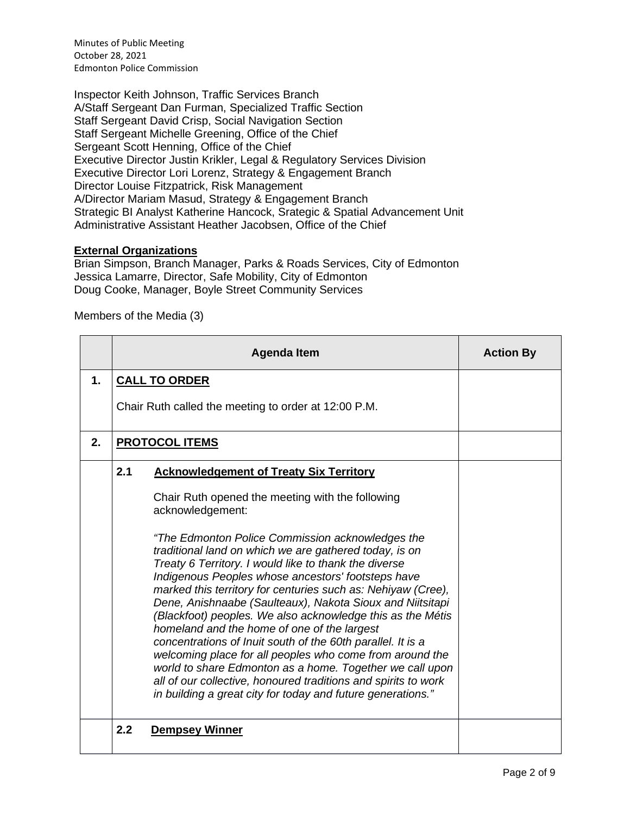Inspector Keith Johnson, Traffic Services Branch A/Staff Sergeant Dan Furman, Specialized Traffic Section Staff Sergeant David Crisp, Social Navigation Section Staff Sergeant Michelle Greening, Office of the Chief Sergeant Scott Henning, Office of the Chief Executive Director Justin Krikler, Legal & Regulatory Services Division Executive Director Lori Lorenz, Strategy & Engagement Branch Director Louise Fitzpatrick, Risk Management A/Director Mariam Masud, Strategy & Engagement Branch Strategic BI Analyst Katherine Hancock, Srategic & Spatial Advancement Unit Administrative Assistant Heather Jacobsen, Office of the Chief

### **External Organizations**

Brian Simpson, Branch Manager, Parks & Roads Services, City of Edmonton Jessica Lamarre, Director, Safe Mobility, City of Edmonton Doug Cooke, Manager, Boyle Street Community Services

#### Members of the Media (3)

|    | <b>Agenda Item</b>                                                                                                                                                                                                                                                                                                                                                                                                                                                                                                                                                                                                                                                                                                                                                                                                                                                                                                           | <b>Action By</b> |
|----|------------------------------------------------------------------------------------------------------------------------------------------------------------------------------------------------------------------------------------------------------------------------------------------------------------------------------------------------------------------------------------------------------------------------------------------------------------------------------------------------------------------------------------------------------------------------------------------------------------------------------------------------------------------------------------------------------------------------------------------------------------------------------------------------------------------------------------------------------------------------------------------------------------------------------|------------------|
| 1. | <b>CALL TO ORDER</b>                                                                                                                                                                                                                                                                                                                                                                                                                                                                                                                                                                                                                                                                                                                                                                                                                                                                                                         |                  |
|    | Chair Ruth called the meeting to order at 12:00 P.M.                                                                                                                                                                                                                                                                                                                                                                                                                                                                                                                                                                                                                                                                                                                                                                                                                                                                         |                  |
| 2. | <b>PROTOCOL ITEMS</b>                                                                                                                                                                                                                                                                                                                                                                                                                                                                                                                                                                                                                                                                                                                                                                                                                                                                                                        |                  |
|    | 2.1<br><b>Acknowledgement of Treaty Six Territory</b><br>Chair Ruth opened the meeting with the following<br>acknowledgement:<br>"The Edmonton Police Commission acknowledges the<br>traditional land on which we are gathered today, is on<br>Treaty 6 Territory. I would like to thank the diverse<br>Indigenous Peoples whose ancestors' footsteps have<br>marked this territory for centuries such as: Nehiyaw (Cree),<br>Dene, Anishnaabe (Saulteaux), Nakota Sioux and Niitsitapi<br>(Blackfoot) peoples. We also acknowledge this as the Métis<br>homeland and the home of one of the largest<br>concentrations of Inuit south of the 60th parallel. It is a<br>welcoming place for all peoples who come from around the<br>world to share Edmonton as a home. Together we call upon<br>all of our collective, honoured traditions and spirits to work<br>in building a great city for today and future generations." |                  |
|    | 2.2<br><b>Dempsey Winner</b>                                                                                                                                                                                                                                                                                                                                                                                                                                                                                                                                                                                                                                                                                                                                                                                                                                                                                                 |                  |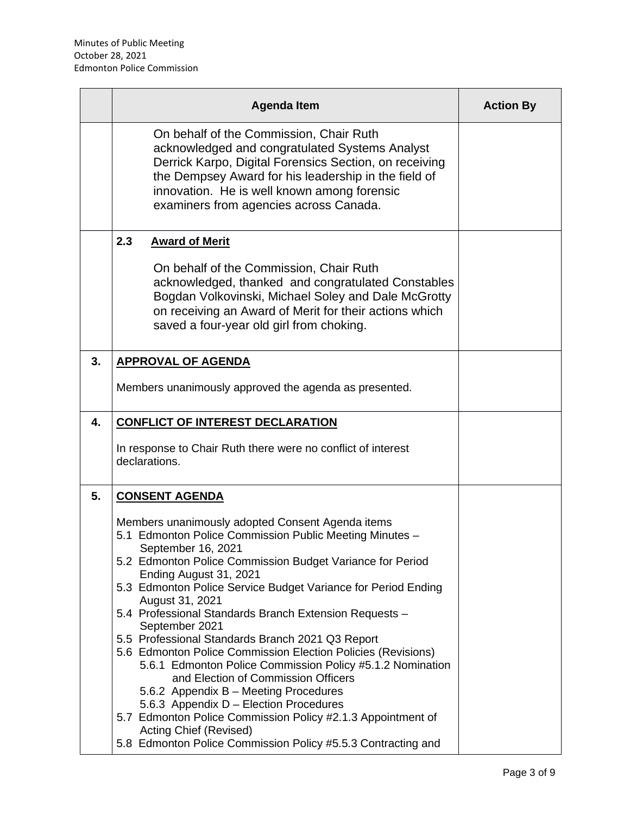|    | <b>Agenda Item</b>                                                                                                                                                                                                                                                                                                                                                                                                                                                                                                                                                                                                                                                                                                                                                                                                                                                                    | <b>Action By</b> |
|----|---------------------------------------------------------------------------------------------------------------------------------------------------------------------------------------------------------------------------------------------------------------------------------------------------------------------------------------------------------------------------------------------------------------------------------------------------------------------------------------------------------------------------------------------------------------------------------------------------------------------------------------------------------------------------------------------------------------------------------------------------------------------------------------------------------------------------------------------------------------------------------------|------------------|
|    | On behalf of the Commission, Chair Ruth<br>acknowledged and congratulated Systems Analyst<br>Derrick Karpo, Digital Forensics Section, on receiving<br>the Dempsey Award for his leadership in the field of<br>innovation. He is well known among forensic<br>examiners from agencies across Canada.                                                                                                                                                                                                                                                                                                                                                                                                                                                                                                                                                                                  |                  |
|    | 2.3<br><b>Award of Merit</b><br>On behalf of the Commission, Chair Ruth<br>acknowledged, thanked and congratulated Constables<br>Bogdan Volkovinski, Michael Soley and Dale McGrotty<br>on receiving an Award of Merit for their actions which<br>saved a four-year old girl from choking.                                                                                                                                                                                                                                                                                                                                                                                                                                                                                                                                                                                            |                  |
| 3. | <b>APPROVAL OF AGENDA</b><br>Members unanimously approved the agenda as presented.                                                                                                                                                                                                                                                                                                                                                                                                                                                                                                                                                                                                                                                                                                                                                                                                    |                  |
| 4. | <b>CONFLICT OF INTEREST DECLARATION</b><br>In response to Chair Ruth there were no conflict of interest<br>declarations.                                                                                                                                                                                                                                                                                                                                                                                                                                                                                                                                                                                                                                                                                                                                                              |                  |
| 5. | <b>CONSENT AGENDA</b><br>Members unanimously adopted Consent Agenda items<br>5.1 Edmonton Police Commission Public Meeting Minutes -<br>September 16, 2021<br>5.2 Edmonton Police Commission Budget Variance for Period<br>Ending August 31, 2021<br>5.3 Edmonton Police Service Budget Variance for Period Ending<br>August 31, 2021<br>5.4 Professional Standards Branch Extension Requests -<br>September 2021<br>5.5 Professional Standards Branch 2021 Q3 Report<br>5.6 Edmonton Police Commission Election Policies (Revisions)<br>5.6.1 Edmonton Police Commission Policy #5.1.2 Nomination<br>and Election of Commission Officers<br>5.6.2 Appendix B - Meeting Procedures<br>5.6.3 Appendix D - Election Procedures<br>5.7 Edmonton Police Commission Policy #2.1.3 Appointment of<br>Acting Chief (Revised)<br>5.8 Edmonton Police Commission Policy #5.5.3 Contracting and |                  |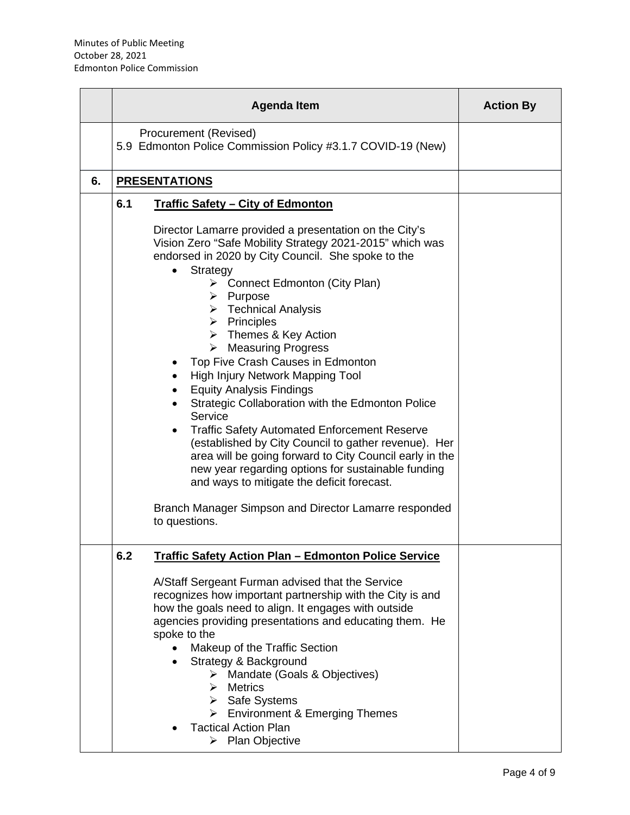|    | <b>Agenda Item</b>                                                                                                                                                                                                                                                                                                                                                                                                                                                                                                                                                                                                                                                                                                                                                                                                                                                                                                                                    | <b>Action By</b> |
|----|-------------------------------------------------------------------------------------------------------------------------------------------------------------------------------------------------------------------------------------------------------------------------------------------------------------------------------------------------------------------------------------------------------------------------------------------------------------------------------------------------------------------------------------------------------------------------------------------------------------------------------------------------------------------------------------------------------------------------------------------------------------------------------------------------------------------------------------------------------------------------------------------------------------------------------------------------------|------------------|
|    | Procurement (Revised)<br>5.9 Edmonton Police Commission Policy #3.1.7 COVID-19 (New)                                                                                                                                                                                                                                                                                                                                                                                                                                                                                                                                                                                                                                                                                                                                                                                                                                                                  |                  |
| 6. | <b>PRESENTATIONS</b>                                                                                                                                                                                                                                                                                                                                                                                                                                                                                                                                                                                                                                                                                                                                                                                                                                                                                                                                  |                  |
|    | 6.1<br><b>Traffic Safety - City of Edmonton</b>                                                                                                                                                                                                                                                                                                                                                                                                                                                                                                                                                                                                                                                                                                                                                                                                                                                                                                       |                  |
|    | Director Lamarre provided a presentation on the City's<br>Vision Zero "Safe Mobility Strategy 2021-2015" which was<br>endorsed in 2020 by City Council. She spoke to the<br>Strategy<br>$\bullet$<br>> Connect Edmonton (City Plan)<br>> Purpose<br>$\triangleright$ Technical Analysis<br>$\triangleright$ Principles<br>$\triangleright$ Themes & Key Action<br>$\triangleright$ Measuring Progress<br>Top Five Crash Causes in Edmonton<br>High Injury Network Mapping Tool<br><b>Equity Analysis Findings</b><br>$\bullet$<br>Strategic Collaboration with the Edmonton Police<br>Service<br><b>Traffic Safety Automated Enforcement Reserve</b><br>(established by City Council to gather revenue). Her<br>area will be going forward to City Council early in the<br>new year regarding options for sustainable funding<br>and ways to mitigate the deficit forecast.<br>Branch Manager Simpson and Director Lamarre responded<br>to questions. |                  |
|    | 6.2<br><b>Traffic Safety Action Plan - Edmonton Police Service</b>                                                                                                                                                                                                                                                                                                                                                                                                                                                                                                                                                                                                                                                                                                                                                                                                                                                                                    |                  |
|    | A/Staff Sergeant Furman advised that the Service<br>recognizes how important partnership with the City is and<br>how the goals need to align. It engages with outside<br>agencies providing presentations and educating them. He<br>spoke to the<br>Makeup of the Traffic Section<br>Strategy & Background<br>> Mandate (Goals & Objectives)<br>$\triangleright$ Metrics<br>> Safe Systems<br>> Environment & Emerging Themes<br><b>Tactical Action Plan</b><br>$\triangleright$ Plan Objective                                                                                                                                                                                                                                                                                                                                                                                                                                                       |                  |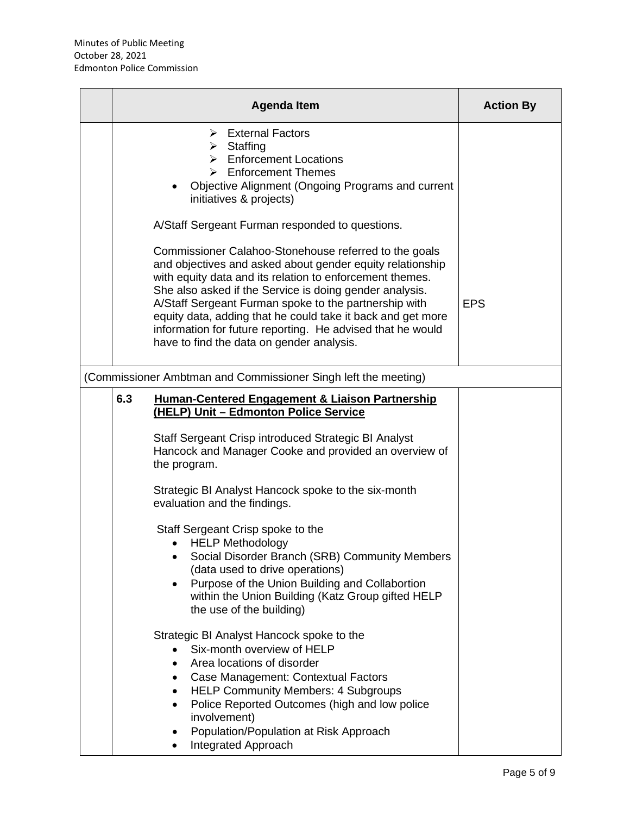| <b>Agenda Item</b>                                                                                                                                                                                                                                                                                                                                                                                                                                                                                                                                                                                                                                                                                                                                                                                                                                                                                                                                                                                | <b>Action By</b> |
|---------------------------------------------------------------------------------------------------------------------------------------------------------------------------------------------------------------------------------------------------------------------------------------------------------------------------------------------------------------------------------------------------------------------------------------------------------------------------------------------------------------------------------------------------------------------------------------------------------------------------------------------------------------------------------------------------------------------------------------------------------------------------------------------------------------------------------------------------------------------------------------------------------------------------------------------------------------------------------------------------|------------------|
| <b>External Factors</b><br>⋗<br>$\triangleright$ Staffing<br>$\triangleright$ Enforcement Locations<br>$\triangleright$ Enforcement Themes<br>Objective Alignment (Ongoing Programs and current<br>initiatives & projects)                                                                                                                                                                                                                                                                                                                                                                                                                                                                                                                                                                                                                                                                                                                                                                        |                  |
| A/Staff Sergeant Furman responded to questions.<br>Commissioner Calahoo-Stonehouse referred to the goals<br>and objectives and asked about gender equity relationship<br>with equity data and its relation to enforcement themes.<br>She also asked if the Service is doing gender analysis.<br>A/Staff Sergeant Furman spoke to the partnership with<br>equity data, adding that he could take it back and get more<br>information for future reporting. He advised that he would<br>have to find the data on gender analysis.                                                                                                                                                                                                                                                                                                                                                                                                                                                                   | <b>EPS</b>       |
| (Commissioner Ambtman and Commissioner Singh left the meeting)                                                                                                                                                                                                                                                                                                                                                                                                                                                                                                                                                                                                                                                                                                                                                                                                                                                                                                                                    |                  |
| 6.3<br><b>Human-Centered Engagement &amp; Liaison Partnership</b><br>(HELP) Unit - Edmonton Police Service<br>Staff Sergeant Crisp introduced Strategic BI Analyst<br>Hancock and Manager Cooke and provided an overview of<br>the program.<br>Strategic BI Analyst Hancock spoke to the six-month<br>evaluation and the findings.<br>Staff Sergeant Crisp spoke to the<br><b>HELP Methodology</b><br>Social Disorder Branch (SRB) Community Members<br>(data used to drive operations)<br>Purpose of the Union Building and Collabortion<br>within the Union Building (Katz Group gifted HELP<br>the use of the building)<br>Strategic BI Analyst Hancock spoke to the<br>Six-month overview of HELP<br>Area locations of disorder<br>Case Management: Contextual Factors<br>$\bullet$<br><b>HELP Community Members: 4 Subgroups</b><br>$\bullet$<br>Police Reported Outcomes (high and low police<br>$\bullet$<br>involvement)<br>Population/Population at Risk Approach<br>Integrated Approach |                  |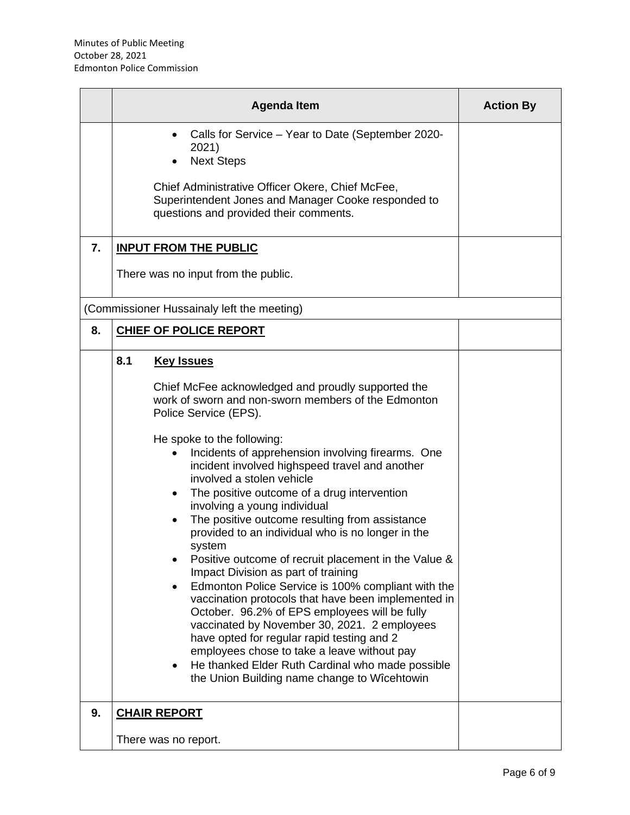|    | <b>Agenda Item</b>                                                                                                                                                                                                                                                                                                                                                                                                                                                                                                                                                                                                                                                                                                                                                                                                                                                                                                                                                                                                                                               | <b>Action By</b> |
|----|------------------------------------------------------------------------------------------------------------------------------------------------------------------------------------------------------------------------------------------------------------------------------------------------------------------------------------------------------------------------------------------------------------------------------------------------------------------------------------------------------------------------------------------------------------------------------------------------------------------------------------------------------------------------------------------------------------------------------------------------------------------------------------------------------------------------------------------------------------------------------------------------------------------------------------------------------------------------------------------------------------------------------------------------------------------|------------------|
|    | Calls for Service - Year to Date (September 2020-<br>$\bullet$<br>2021)<br><b>Next Steps</b><br>Chief Administrative Officer Okere, Chief McFee,<br>Superintendent Jones and Manager Cooke responded to<br>questions and provided their comments.                                                                                                                                                                                                                                                                                                                                                                                                                                                                                                                                                                                                                                                                                                                                                                                                                |                  |
| 7. | <b>INPUT FROM THE PUBLIC</b>                                                                                                                                                                                                                                                                                                                                                                                                                                                                                                                                                                                                                                                                                                                                                                                                                                                                                                                                                                                                                                     |                  |
|    | There was no input from the public.                                                                                                                                                                                                                                                                                                                                                                                                                                                                                                                                                                                                                                                                                                                                                                                                                                                                                                                                                                                                                              |                  |
|    | (Commissioner Hussainaly left the meeting)                                                                                                                                                                                                                                                                                                                                                                                                                                                                                                                                                                                                                                                                                                                                                                                                                                                                                                                                                                                                                       |                  |
| 8. | <b>CHIEF OF POLICE REPORT</b>                                                                                                                                                                                                                                                                                                                                                                                                                                                                                                                                                                                                                                                                                                                                                                                                                                                                                                                                                                                                                                    |                  |
|    | 8.1<br><b>Key Issues</b><br>Chief McFee acknowledged and proudly supported the<br>work of sworn and non-sworn members of the Edmonton<br>Police Service (EPS).<br>He spoke to the following:<br>Incidents of apprehension involving firearms. One<br>incident involved highspeed travel and another<br>involved a stolen vehicle<br>The positive outcome of a drug intervention<br>$\bullet$<br>involving a young individual<br>The positive outcome resulting from assistance<br>provided to an individual who is no longer in the<br>system<br>Positive outcome of recruit placement in the Value &<br>Impact Division as part of training<br>Edmonton Police Service is 100% compliant with the<br>٠<br>vaccination protocols that have been implemented in<br>October. 96.2% of EPS employees will be fully<br>vaccinated by November 30, 2021. 2 employees<br>have opted for regular rapid testing and 2<br>employees chose to take a leave without pay<br>He thanked Elder Ruth Cardinal who made possible<br>the Union Building name change to Wîcehtowin |                  |
| 9. | <b>CHAIR REPORT</b><br>There was no report.                                                                                                                                                                                                                                                                                                                                                                                                                                                                                                                                                                                                                                                                                                                                                                                                                                                                                                                                                                                                                      |                  |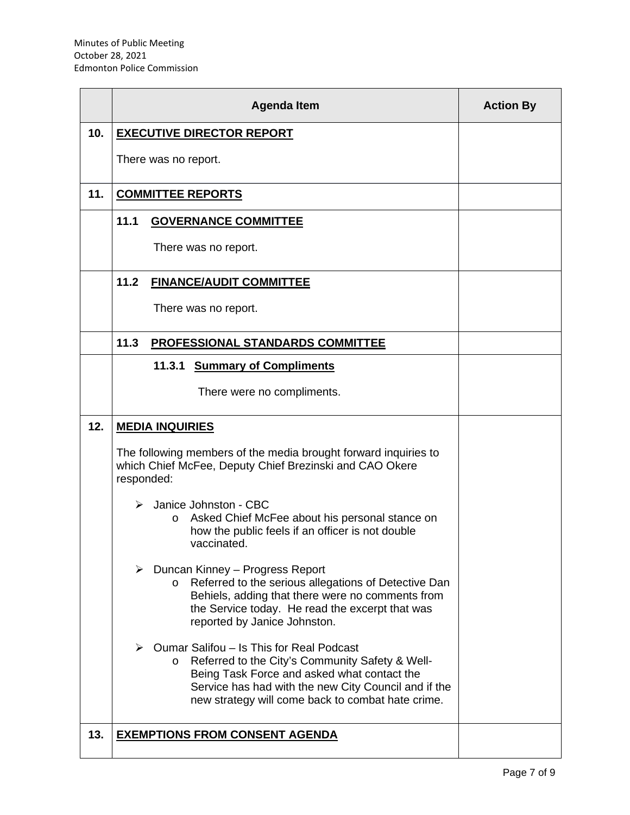|     |                       | <b>Agenda Item</b>                                                                                                                                                                                                                                                 | <b>Action By</b> |
|-----|-----------------------|--------------------------------------------------------------------------------------------------------------------------------------------------------------------------------------------------------------------------------------------------------------------|------------------|
| 10. |                       | <b>EXECUTIVE DIRECTOR REPORT</b>                                                                                                                                                                                                                                   |                  |
|     |                       | There was no report.                                                                                                                                                                                                                                               |                  |
| 11. |                       | <b>COMMITTEE REPORTS</b>                                                                                                                                                                                                                                           |                  |
|     | 11.1                  | <b>GOVERNANCE COMMITTEE</b>                                                                                                                                                                                                                                        |                  |
|     |                       | There was no report.                                                                                                                                                                                                                                               |                  |
|     | 11.2                  | <b>FINANCE/AUDIT COMMITTEE</b>                                                                                                                                                                                                                                     |                  |
|     |                       | There was no report.                                                                                                                                                                                                                                               |                  |
|     | 11.3                  | PROFESSIONAL STANDARDS COMMITTEE                                                                                                                                                                                                                                   |                  |
|     |                       | 11.3.1<br><b>Summary of Compliments</b>                                                                                                                                                                                                                            |                  |
|     |                       | There were no compliments.                                                                                                                                                                                                                                         |                  |
| 12. |                       | <b>MEDIA INQUIRIES</b>                                                                                                                                                                                                                                             |                  |
|     | responded:            | The following members of the media brought forward inquiries to<br>which Chief McFee, Deputy Chief Brezinski and CAO Okere                                                                                                                                         |                  |
|     |                       | > Janice Johnston - CBC<br>Asked Chief McFee about his personal stance on<br>$\circ$<br>how the public feels if an officer is not double<br>vaccinated.                                                                                                            |                  |
|     |                       | $\triangleright$ Duncan Kinney – Progress Report<br>Referred to the serious allegations of Detective Dan<br>$\circ$<br>Behiels, adding that there were no comments from<br>the Service today. He read the excerpt that was<br>reported by Janice Johnston.         |                  |
|     | $\blacktriangleright$ | Oumar Salifou - Is This for Real Podcast<br>Referred to the City's Community Safety & Well-<br>$\circ$<br>Being Task Force and asked what contact the<br>Service has had with the new City Council and if the<br>new strategy will come back to combat hate crime. |                  |
| 13. |                       | <b>EXEMPTIONS FROM CONSENT AGENDA</b>                                                                                                                                                                                                                              |                  |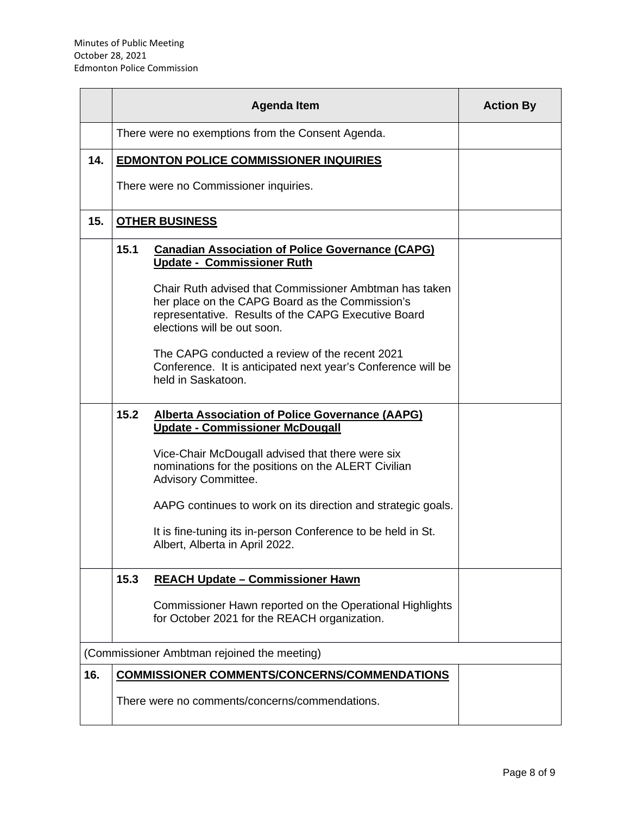|     |      | <b>Agenda Item</b>                                                                                                                                                                                                                                                                                                                                                                                                               | <b>Action By</b> |  |
|-----|------|----------------------------------------------------------------------------------------------------------------------------------------------------------------------------------------------------------------------------------------------------------------------------------------------------------------------------------------------------------------------------------------------------------------------------------|------------------|--|
|     |      | There were no exemptions from the Consent Agenda.                                                                                                                                                                                                                                                                                                                                                                                |                  |  |
| 14. |      | <b>EDMONTON POLICE COMMISSIONER INQUIRIES</b>                                                                                                                                                                                                                                                                                                                                                                                    |                  |  |
|     |      | There were no Commissioner inquiries.                                                                                                                                                                                                                                                                                                                                                                                            |                  |  |
| 15. |      | <b>OTHER BUSINESS</b>                                                                                                                                                                                                                                                                                                                                                                                                            |                  |  |
|     | 15.1 | <b>Canadian Association of Police Governance (CAPG)</b><br>Update - Commissioner Ruth<br>Chair Ruth advised that Commissioner Ambtman has taken<br>her place on the CAPG Board as the Commission's<br>representative. Results of the CAPG Executive Board<br>elections will be out soon.<br>The CAPG conducted a review of the recent 2021<br>Conference. It is anticipated next year's Conference will be<br>held in Saskatoon. |                  |  |
|     | 15.2 | <b>Alberta Association of Police Governance (AAPG)</b><br><b>Update - Commissioner McDougall</b><br>Vice-Chair McDougall advised that there were six<br>nominations for the positions on the ALERT Civilian<br>Advisory Committee.<br>AAPG continues to work on its direction and strategic goals.<br>It is fine-tuning its in-person Conference to be held in St.<br>Albert, Alberta in April 2022.                             |                  |  |
|     | 15.3 | <b>REACH Update - Commissioner Hawn</b><br>Commissioner Hawn reported on the Operational Highlights<br>for October 2021 for the REACH organization.                                                                                                                                                                                                                                                                              |                  |  |
|     |      | (Commissioner Ambtman rejoined the meeting)                                                                                                                                                                                                                                                                                                                                                                                      |                  |  |
| 16. |      | <b>COMMISSIONER COMMENTS/CONCERNS/COMMENDATIONS</b><br>There were no comments/concerns/commendations.                                                                                                                                                                                                                                                                                                                            |                  |  |